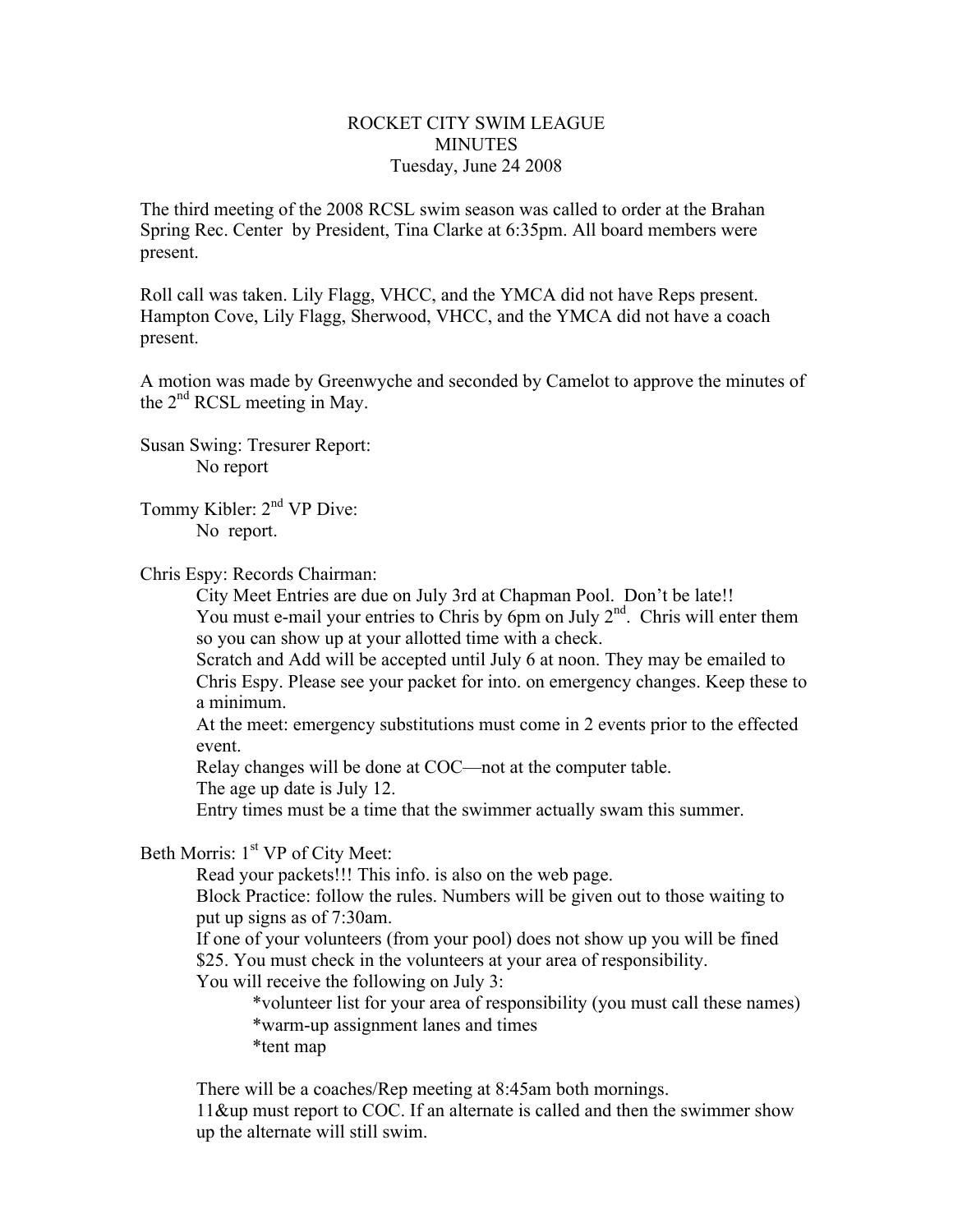## ROCKET CITY SWIM LEAGUE **MINUTES** Tuesday, June 24 2008

The third meeting of the 2008 RCSL swim season was called to order at the Brahan Spring Rec. Center by President, Tina Clarke at 6:35pm. All board members were present.

Roll call was taken. Lily Flagg, VHCC, and the YMCA did not have Reps present. Hampton Cove, Lily Flagg, Sherwood, VHCC, and the YMCA did not have a coach present.

A motion was made by Greenwyche and seconded by Camelot to approve the minutes of the  $2<sup>nd</sup> RCSL$  meeting in May.

Susan Swing: Tresurer Report: No report

Tommy Kibler: 2<sup>nd</sup> VP Dive: No report.

Chris Espy: Records Chairman:

City Meet Entries are due on July 3rd at Chapman Pool. Don't be late!! You must e-mail your entries to Chris by 6pm on July  $2<sup>nd</sup>$ . Chris will enter them so you can show up at your allotted time with a check.

Scratch and Add will be accepted until July 6 at noon. They may be emailed to Chris Espy. Please see your packet for into. on emergency changes. Keep these to a minimum.

At the meet: emergency substitutions must come in 2 events prior to the effected event.

Relay changes will be done at COC—not at the computer table.

The age up date is July 12.

Entry times must be a time that the swimmer actually swam this summer.

Beth Morris:  $1<sup>st</sup> VP$  of City Meet:

Read your packets!!! This info. is also on the web page.

Block Practice: follow the rules. Numbers will be given out to those waiting to put up signs as of 7:30am.

If one of your volunteers (from your pool) does not show up you will be fined \$25. You must check in the volunteers at your area of responsibility.

You will receive the following on July 3:

\*volunteer list for your area of responsibility (you must call these names) \*warm-up assignment lanes and times

\*tent map

There will be a coaches/Rep meeting at 8:45am both mornings.

11&up must report to COC. If an alternate is called and then the swimmer show up the alternate will still swim.